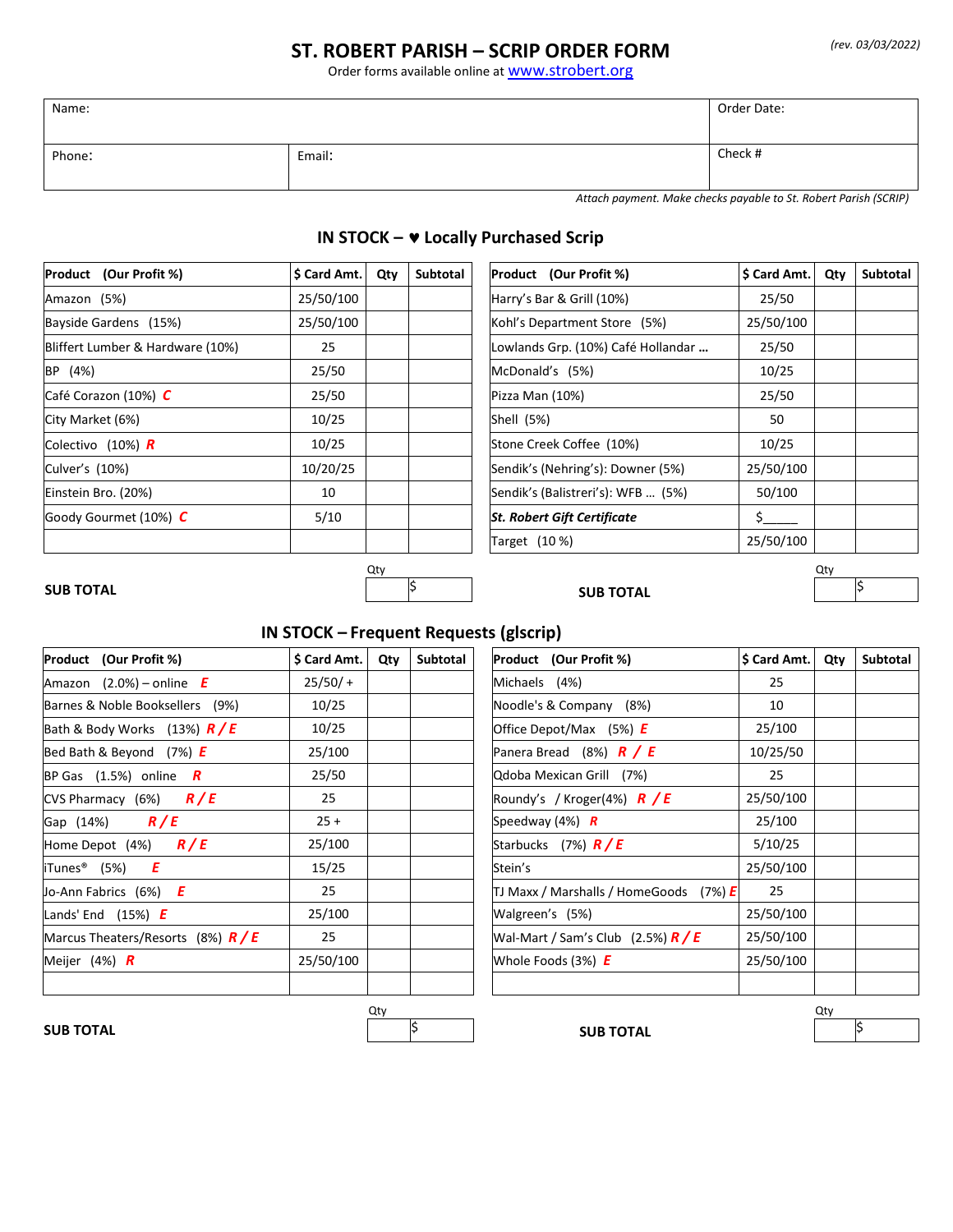### *(rev. 03/03/2022)*

## **ST. ROBERT PARISH – SCRIP ORDER FORM**

Order forms available online at **WWW.strobert.org** 

| Name:  |        | Order Date: |
|--------|--------|-------------|
| Phone: | Email: | Check #     |

'n

*Attach payment. Make checks payable to St. Robert Parish (SCRIP)*

# **IN STOCK – Locally Purchased Scrip**

 $\mathbf{r}$ 

 $\overline{\mathbf{r}}$ 

| Product (Our Profit %)           | \$ Card Amt. | Subtotal<br>Qty | <b>Product</b> (Our Profit %)      | S Card Amt. | Qty | Subtotal |
|----------------------------------|--------------|-----------------|------------------------------------|-------------|-----|----------|
| Amazon (5%)                      | 25/50/100    |                 | Harry's Bar & Grill (10%)          | 25/50       |     |          |
| Bayside Gardens (15%)            | 25/50/100    |                 | Kohl's Department Store (5%)       | 25/50/100   |     |          |
| Bliffert Lumber & Hardware (10%) | 25           |                 | Lowlands Grp. (10%) Café Hollandar | 25/50       |     |          |
| (4%)<br><b>BP</b>                | 25/50        |                 | McDonald's (5%)                    | 10/25       |     |          |
| Café Corazon (10%) C             | 25/50        |                 | Pizza Man (10%)                    | 25/50       |     |          |
| City Market (6%)                 | 10/25        |                 | Shell (5%)                         | 50          |     |          |
| Colectivo (10%) $\boldsymbol{R}$ | 10/25        |                 | Stone Creek Coffee (10%)           | 10/25       |     |          |
| Culver's (10%)                   | 10/20/25     |                 | Sendik's (Nehring's): Downer (5%)  | 25/50/100   |     |          |
| Einstein Bro. (20%)              | 10           |                 | Sendik's (Balistreri's): WFB  (5%) | 50/100      |     |          |
| Goody Gourmet (10%) C            | 5/10         |                 | <b>St. Robert Gift Certificate</b> | Ś.          |     |          |
|                                  |              |                 | Target (10 %)                      | 25/50/100   |     |          |

## **SUB TOTAL**  $|\hspace{-.06cm}3\rangle$

Qty Qty

**SUB TOTAL** 

# **IN STOCK – Frequent Requests (glscrip)**

| Product (Our Profit %)               | \$ Card Amt. | Qty | Subtotal | Product (Our Profit %)                            | \$ Card Amt. | Qty | Subtotal |
|--------------------------------------|--------------|-----|----------|---------------------------------------------------|--------------|-----|----------|
| Amazon $(2.0%)$ – online <b>E</b>    | $25/50/ +$   |     |          | Michaels (4%)                                     | 25           |     |          |
| Barnes & Noble Booksellers (9%)      | 10/25        |     |          | Noodle's & Company (8%)                           | 10           |     |          |
| Bath & Body Works (13%) $R/E$        | 10/25        |     |          | Office Depot/Max $(5%) E$                         | 25/100       |     |          |
| Bed Bath & Beyond $(7%)$ <b>E</b>    | 25/100       |     |          | Panera Bread (8%) $\boldsymbol{R}$ / E            | 10/25/50     |     |          |
| BP Gas $(1.5%)$ online <b>R</b>      | 25/50        |     |          | Qdoba Mexican Grill (7%)                          | 25           |     |          |
| CVS Pharmacy (6%) $\frac{R}{E}$      | 25           |     |          | Roundy's / Kroger(4%) $\overline{R}/\overline{E}$ | 25/50/100    |     |          |
| Gap (14%) $R/E$                      | $25 +$       |     |          | Speedway $(4%)$ <b>R</b>                          | 25/100       |     |          |
| R/E<br>Home Depot (4%)               | 25/100       |     |          | Starbucks (7%) $R/E$                              | 5/10/25      |     |          |
| E<br>iTunes <sup>®</sup> (5%)        | 15/25        |     |          | Stein's                                           | 25/50/100    |     |          |
| Jo-Ann Fabrics $(6%)$ <b>E</b>       | 25           |     |          | TJ Maxx / Marshalls / HomeGoods (7%) $E$          | 25           |     |          |
| Lands' End $(15%)$ <b>E</b>          | 25/100       |     |          | Walgreen's (5%)                                   | 25/50/100    |     |          |
| Marcus Theaters/Resorts (8%) $R / E$ | 25           |     |          | Wal-Mart / Sam's Club (2.5%) $\frac{R}{E}$        | 25/50/100    |     |          |
| Meijer (4%) $\bm{R}$                 | 25/50/100    |     |          | Whole Foods $(3%)$ <b>E</b>                       | 25/50/100    |     |          |
|                                      |              |     |          |                                                   |              |     |          |

| Product (Our Profit %)                 | \$ Card Amt. | Qty | <b>Subtotal</b> |
|----------------------------------------|--------------|-----|-----------------|
| Michaels (4%)                          | 25           |     |                 |
| Noodle's & Company (8%)                | 10           |     |                 |
| Office Depot/Max (5%) $\bm{E}$         | 25/100       |     |                 |
| Panera Bread (8%) $R / E$              | 10/25/50     |     |                 |
| Qdoba Mexican Grill (7%)               | 25           |     |                 |
| Roundy's / Kroger(4%) $\bm{R}$ / E     | 25/50/100    |     |                 |
| Speedway (4%) $\bm{R}$                 | 25/100       |     |                 |
| Starbucks (7%) <b>R/E</b>              | 5/10/25      |     |                 |
| Stein's                                | 25/50/100    |     |                 |
| TJ Maxx / Marshalls / HomeGoods (7%) E | 25           |     |                 |
| Walgreen's (5%)                        | 25/50/100    |     |                 |
| Wal-Mart / Sam's Club (2.5%) $R / E$   | 25/50/100    |     |                 |
| Whole Foods (3%) $\bm{E}$              | 25/50/100    |     |                 |
|                                        |              |     |                 |

Qty Qty

 $\begin{array}{ccc} \text{SUB TOTAL} \end{array}$   $\begin{array}{ccc} \text{S} & \begin{array}{ccc} \text{S} & \text{SUB TOTAL} \end{array} \end{array}$